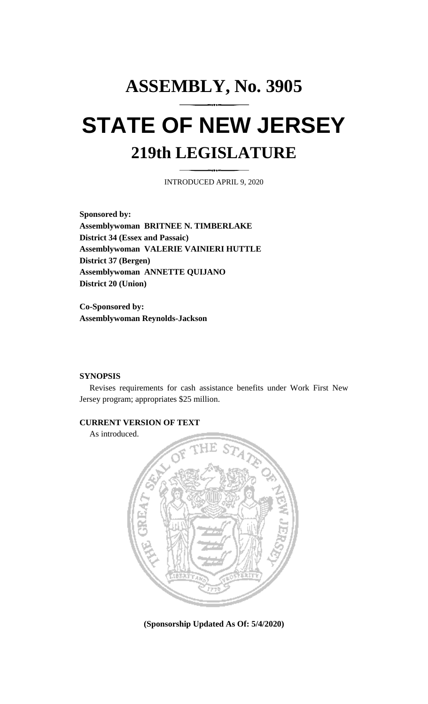# **ASSEMBLY, No. 3905 STATE OF NEW JERSEY 219th LEGISLATURE**

INTRODUCED APRIL 9, 2020

**Sponsored by: Assemblywoman BRITNEE N. TIMBERLAKE District 34 (Essex and Passaic) Assemblywoman VALERIE VAINIERI HUTTLE District 37 (Bergen) Assemblywoman ANNETTE QUIJANO District 20 (Union)**

**Co-Sponsored by: Assemblywoman Reynolds-Jackson**

## **SYNOPSIS**

Revises requirements for cash assistance benefits under Work First New Jersey program; appropriates \$25 million.

## **CURRENT VERSION OF TEXT**

As introduced.



**(Sponsorship Updated As Of: 5/4/2020)**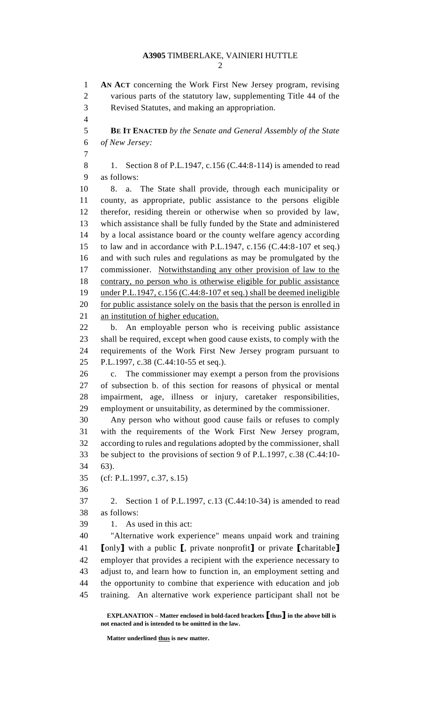**AN ACT** concerning the Work First New Jersey program, revising various parts of the statutory law, supplementing Title 44 of the Revised Statutes, and making an appropriation. **BE IT ENACTED** *by the Senate and General Assembly of the State of New Jersey:* 8 1. Section 8 of P.L.1947, c.156 (C.44:8-114) is amended to read as follows: 8. a. The State shall provide, through each municipality or county, as appropriate, public assistance to the persons eligible therefor, residing therein or otherwise when so provided by law, which assistance shall be fully funded by the State and administered by a local assistance board or the county welfare agency according to law and in accordance with P.L.1947, c.156 (C.44:8-107 et seq.) and with such rules and regulations as may be promulgated by the commissioner. Notwithstanding any other provision of law to the contrary, no person who is otherwise eligible for public assistance under P.L.1947, c.156 (C.44:8-107 et seq.) shall be deemed ineligible 20 for public assistance solely on the basis that the person is enrolled in an institution of higher education. b. An employable person who is receiving public assistance shall be required, except when good cause exists, to comply with the requirements of the Work First New Jersey program pursuant to P.L.1997, c.38 (C.44:10-55 et seq.). c. The commissioner may exempt a person from the provisions of subsection b. of this section for reasons of physical or mental impairment, age, illness or injury, caretaker responsibilities, employment or unsuitability, as determined by the commissioner. Any person who without good cause fails or refuses to comply with the requirements of the Work First New Jersey program, according to rules and regulations adopted by the commissioner, shall be subject to the provisions of section 9 of P.L.1997, c.38 (C.44:10- 63). (cf: P.L.1997, c.37, s.15) 2. Section 1 of P.L.1997, c.13 (C.44:10-34) is amended to read as follows: 1. As used in this act: "Alternative work experience" means unpaid work and training **[**only**]** with a public **[**, private nonprofit**]** or private **[**charitable**]** employer that provides a recipient with the experience necessary to adjust to, and learn how to function in, an employment setting and the opportunity to combine that experience with education and job training. An alternative work experience participant shall not be

**EXPLANATION – Matter enclosed in bold-faced brackets [thus] in the above bill is not enacted and is intended to be omitted in the law.**

**Matter underlined thus is new matter.**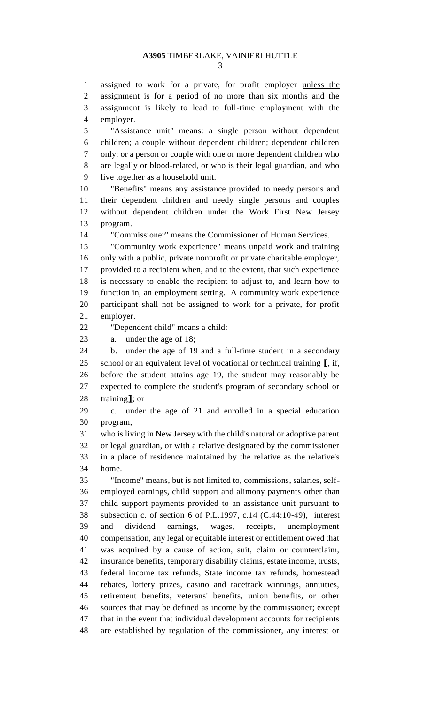assigned to work for a private, for profit employer unless the assignment is for a period of no more than six months and the assignment is likely to lead to full-time employment with the employer. "Assistance unit" means: a single person without dependent children; a couple without dependent children; dependent children only; or a person or couple with one or more dependent children who are legally or blood-related, or who is their legal guardian, and who live together as a household unit. "Benefits" means any assistance provided to needy persons and their dependent children and needy single persons and couples without dependent children under the Work First New Jersey program. "Commissioner" means the Commissioner of Human Services. "Community work experience" means unpaid work and training only with a public, private nonprofit or private charitable employer, provided to a recipient when, and to the extent, that such experience is necessary to enable the recipient to adjust to, and learn how to function in, an employment setting. A community work experience participant shall not be assigned to work for a private, for profit employer. "Dependent child" means a child: a. under the age of 18; b. under the age of 19 and a full-time student in a secondary school or an equivalent level of vocational or technical training **[**, if, before the student attains age 19, the student may reasonably be expected to complete the student's program of secondary school or training**]**; or c. under the age of 21 and enrolled in a special education program, who is living in New Jersey with the child's natural or adoptive parent or legal guardian, or with a relative designated by the commissioner in a place of residence maintained by the relative as the relative's home. "Income" means, but is not limited to, commissions, salaries, self- employed earnings, child support and alimony payments other than child support payments provided to an assistance unit pursuant to subsection c. of section 6 of P.L.1997, c.14 (C.44:10-49), interest and dividend earnings, wages, receipts, unemployment compensation, any legal or equitable interest or entitlement owed that was acquired by a cause of action, suit, claim or counterclaim, insurance benefits, temporary disability claims, estate income, trusts, federal income tax refunds, State income tax refunds, homestead rebates, lottery prizes, casino and racetrack winnings, annuities, retirement benefits, veterans' benefits, union benefits, or other sources that may be defined as income by the commissioner; except that in the event that individual development accounts for recipients are established by regulation of the commissioner, any interest or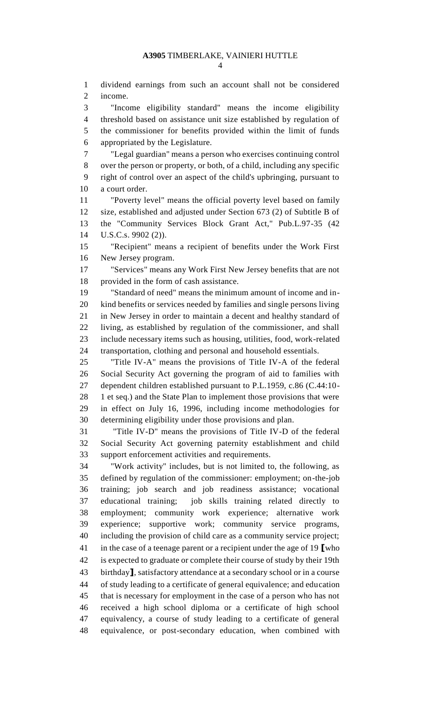dividend earnings from such an account shall not be considered income.

 "Income eligibility standard" means the income eligibility threshold based on assistance unit size established by regulation of the commissioner for benefits provided within the limit of funds appropriated by the Legislature.

 "Legal guardian" means a person who exercises continuing control over the person or property, or both, of a child, including any specific right of control over an aspect of the child's upbringing, pursuant to a court order.

 "Poverty level" means the official poverty level based on family size, established and adjusted under Section 673 (2) of Subtitle B of the "Community Services Block Grant Act," Pub.L.97-35 (42 U.S.C.s. 9902 (2)).

 "Recipient" means a recipient of benefits under the Work First New Jersey program.

 "Services" means any Work First New Jersey benefits that are not provided in the form of cash assistance.

 "Standard of need" means the minimum amount of income and in- kind benefits or services needed by families and single persons living in New Jersey in order to maintain a decent and healthy standard of living, as established by regulation of the commissioner, and shall include necessary items such as housing, utilities, food, work-related transportation, clothing and personal and household essentials.

 "Title IV-A" means the provisions of Title IV-A of the federal Social Security Act governing the program of aid to families with dependent children established pursuant to P.L.1959, c.86 (C.44:10- 1 et seq.) and the State Plan to implement those provisions that were in effect on July 16, 1996, including income methodologies for determining eligibility under those provisions and plan.

 "Title IV-D" means the provisions of Title IV-D of the federal Social Security Act governing paternity establishment and child support enforcement activities and requirements.

 "Work activity" includes, but is not limited to, the following, as defined by regulation of the commissioner: employment; on-the-job training; job search and job readiness assistance; vocational educational training; job skills training related directly to employment; community work experience; alternative work experience; supportive work; community service programs, including the provision of child care as a community service project; in the case of a teenage parent or a recipient under the age of 19 **[**who is expected to graduate or complete their course of study by their 19th birthday**]**, satisfactory attendance at a secondary school or in a course of study leading to a certificate of general equivalence; and education that is necessary for employment in the case of a person who has not received a high school diploma or a certificate of high school equivalency, a course of study leading to a certificate of general equivalence, or post-secondary education, when combined with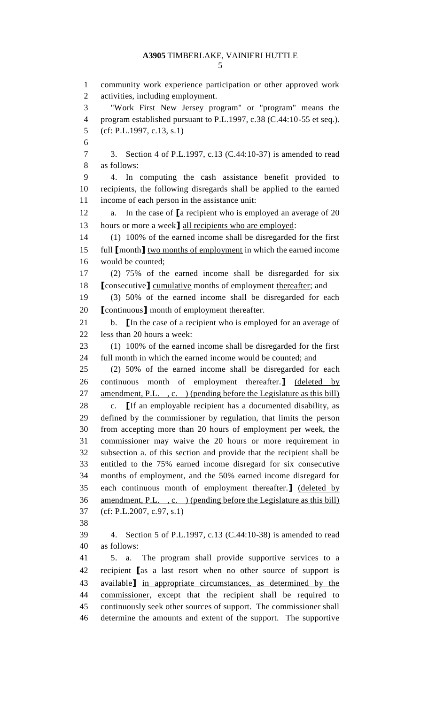community work experience participation or other approved work activities, including employment. "Work First New Jersey program" or "program" means the program established pursuant to P.L.1997, c.38 (C.44:10-55 et seq.). (cf: P.L.1997, c.13, s.1) 3. Section 4 of P.L.1997, c.13 (C.44:10-37) is amended to read as follows: 4. In computing the cash assistance benefit provided to recipients, the following disregards shall be applied to the earned income of each person in the assistance unit: a. In the case of **[**a recipient who is employed an average of 20 13 hours or more a week**]** all recipients who are employed: (1) 100% of the earned income shall be disregarded for the first full **[**month**]** two months of employment in which the earned income would be counted; (2) 75% of the earned income shall be disregarded for six **[**consecutive**]** cumulative months of employment thereafter; and (3) 50% of the earned income shall be disregarded for each **[**continuous**]** month of employment thereafter. b. **[**In the case of a recipient who is employed for an average of less than 20 hours a week: (1) 100% of the earned income shall be disregarded for the first full month in which the earned income would be counted; and (2) 50% of the earned income shall be disregarded for each continuous month of employment thereafter.**]** (deleted by 27 amendment, P.L., c. (pending before the Legislature as this bill) c. **[**If an employable recipient has a documented disability, as defined by the commissioner by regulation, that limits the person from accepting more than 20 hours of employment per week, the commissioner may waive the 20 hours or more requirement in subsection a. of this section and provide that the recipient shall be entitled to the 75% earned income disregard for six consecutive months of employment, and the 50% earned income disregard for each continuous month of employment thereafter.**]** (deleted by amendment, P.L. , c. ) (pending before the Legislature as this bill) (cf: P.L.2007, c.97, s.1) 4. Section 5 of P.L.1997, c.13 (C.44:10-38) is amended to read as follows: 5. a. The program shall provide supportive services to a recipient **[**as a last resort when no other source of support is available**]** in appropriate circumstances, as determined by the commissioner, except that the recipient shall be required to continuously seek other sources of support. The commissioner shall determine the amounts and extent of the support. The supportive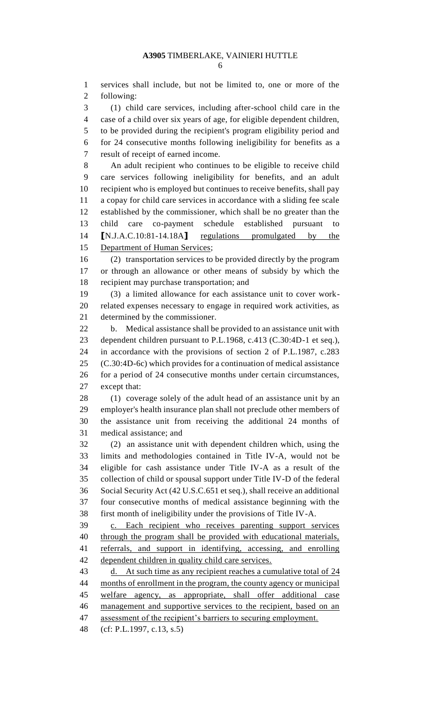services shall include, but not be limited to, one or more of the following:

 (1) child care services, including after-school child care in the case of a child over six years of age, for eligible dependent children, to be provided during the recipient's program eligibility period and for 24 consecutive months following ineligibility for benefits as a

result of receipt of earned income.

 An adult recipient who continues to be eligible to receive child care services following ineligibility for benefits, and an adult recipient who is employed but continues to receive benefits, shall pay a copay for child care services in accordance with a sliding fee scale established by the commissioner, which shall be no greater than the child care co-payment schedule established pursuant to **[**N.J.A.C.10:81-14.18A**]** regulations promulgated by the Department of Human Services;

 (2) transportation services to be provided directly by the program or through an allowance or other means of subsidy by which the recipient may purchase transportation; and

 (3) a limited allowance for each assistance unit to cover work- related expenses necessary to engage in required work activities, as determined by the commissioner.

 b. Medical assistance shall be provided to an assistance unit with dependent children pursuant to P.L.1968, c.413 (C.30:4D-1 et seq.), in accordance with the provisions of section 2 of P.L.1987, c.283 (C.30:4D-6c) which provides for a continuation of medical assistance for a period of 24 consecutive months under certain circumstances, except that:

 (1) coverage solely of the adult head of an assistance unit by an employer's health insurance plan shall not preclude other members of the assistance unit from receiving the additional 24 months of medical assistance; and

 (2) an assistance unit with dependent children which, using the limits and methodologies contained in Title IV-A, would not be eligible for cash assistance under Title IV-A as a result of the collection of child or spousal support under Title IV-D of the federal Social Security Act (42 U.S.C.651 et seq.), shall receive an additional four consecutive months of medical assistance beginning with the first month of ineligibility under the provisions of Title IV-A.

 c. Each recipient who receives parenting support services 40 through the program shall be provided with educational materials, referrals, and support in identifying, accessing, and enrolling dependent children in quality child care services.

43 d. At such time as any recipient reaches a cumulative total of 24 44 months of enrollment in the program, the county agency or municipal welfare agency, as appropriate, shall offer additional case management and supportive services to the recipient, based on an 47 assessment of the recipient's barriers to securing employment.

(cf: P.L.1997, c.13, s.5)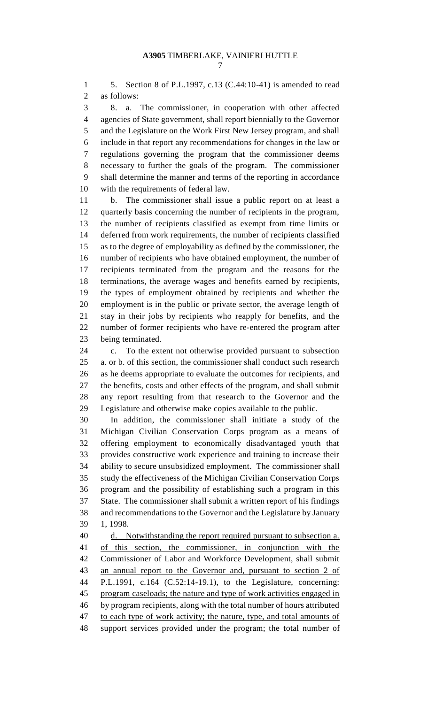5. Section 8 of P.L.1997, c.13 (C.44:10-41) is amended to read as follows:

 8. a. The commissioner, in cooperation with other affected agencies of State government, shall report biennially to the Governor and the Legislature on the Work First New Jersey program, and shall include in that report any recommendations for changes in the law or regulations governing the program that the commissioner deems necessary to further the goals of the program. The commissioner shall determine the manner and terms of the reporting in accordance with the requirements of federal law.

 b. The commissioner shall issue a public report on at least a quarterly basis concerning the number of recipients in the program, the number of recipients classified as exempt from time limits or deferred from work requirements, the number of recipients classified as to the degree of employability as defined by the commissioner, the number of recipients who have obtained employment, the number of recipients terminated from the program and the reasons for the terminations, the average wages and benefits earned by recipients, the types of employment obtained by recipients and whether the employment is in the public or private sector, the average length of stay in their jobs by recipients who reapply for benefits, and the number of former recipients who have re-entered the program after being terminated.

 c. To the extent not otherwise provided pursuant to subsection a. or b. of this section, the commissioner shall conduct such research as he deems appropriate to evaluate the outcomes for recipients, and the benefits, costs and other effects of the program, and shall submit any report resulting from that research to the Governor and the Legislature and otherwise make copies available to the public.

 In addition, the commissioner shall initiate a study of the Michigan Civilian Conservation Corps program as a means of offering employment to economically disadvantaged youth that provides constructive work experience and training to increase their ability to secure unsubsidized employment. The commissioner shall study the effectiveness of the Michigan Civilian Conservation Corps program and the possibility of establishing such a program in this State. The commissioner shall submit a written report of his findings and recommendations to the Governor and the Legislature by January 1, 1998.

40 d. Notwithstanding the report required pursuant to subsection a. of this section, the commissioner, in conjunction with the Commissioner of Labor and Workforce Development, shall submit an annual report to the Governor and, pursuant to section 2 of P.L.1991, c.164 (C.52:14-19.1), to the Legislature, concerning: program caseloads; the nature and type of work activities engaged in by program recipients, along with the total number of hours attributed 47 to each type of work activity; the nature, type, and total amounts of support services provided under the program; the total number of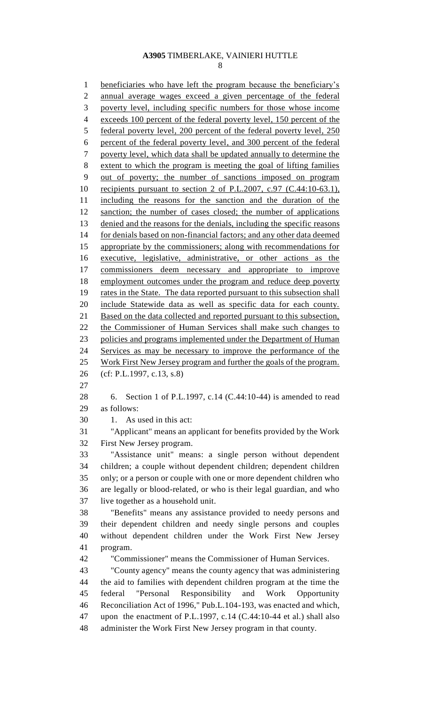1 beneficiaries who have left the program because the beneficiary's annual average wages exceed a given percentage of the federal poverty level, including specific numbers for those whose income exceeds 100 percent of the federal poverty level, 150 percent of the federal poverty level, 200 percent of the federal poverty level, 250 percent of the federal poverty level, and 300 percent of the federal poverty level, which data shall be updated annually to determine the extent to which the program is meeting the goal of lifting families out of poverty; the number of sanctions imposed on program 10 recipients pursuant to section 2 of P.L.2007, c.97 (C.44:10-63.1), including the reasons for the sanction and the duration of the sanction; the number of cases closed; the number of applications denied and the reasons for the denials, including the specific reasons for denials based on non-financial factors; and any other data deemed 15 appropriate by the commissioners; along with recommendations for executive, legislative, administrative, or other actions as the commissioners deem necessary and appropriate to improve employment outcomes under the program and reduce deep poverty rates in the State. The data reported pursuant to this subsection shall include Statewide data as well as specific data for each county. 21 Based on the data collected and reported pursuant to this subsection, the Commissioner of Human Services shall make such changes to 23 policies and programs implemented under the Department of Human Services as may be necessary to improve the performance of the 25 Work First New Jersey program and further the goals of the program. (cf: P.L.1997, c.13, s.8) 6. Section 1 of P.L.1997, c.14 (C.44:10-44) is amended to read as follows: 1. As used in this act: "Applicant" means an applicant for benefits provided by the Work First New Jersey program. "Assistance unit" means: a single person without dependent children; a couple without dependent children; dependent children only; or a person or couple with one or more dependent children who are legally or blood-related, or who is their legal guardian, and who live together as a household unit. "Benefits" means any assistance provided to needy persons and their dependent children and needy single persons and couples without dependent children under the Work First New Jersey program. "Commissioner" means the Commissioner of Human Services. "County agency" means the county agency that was administering the aid to families with dependent children program at the time the federal "Personal Responsibility and Work Opportunity Reconciliation Act of 1996," Pub.L.104-193, was enacted and which, upon the enactment of P.L.1997, c.14 (C.44:10-44 et al.) shall also

administer the Work First New Jersey program in that county.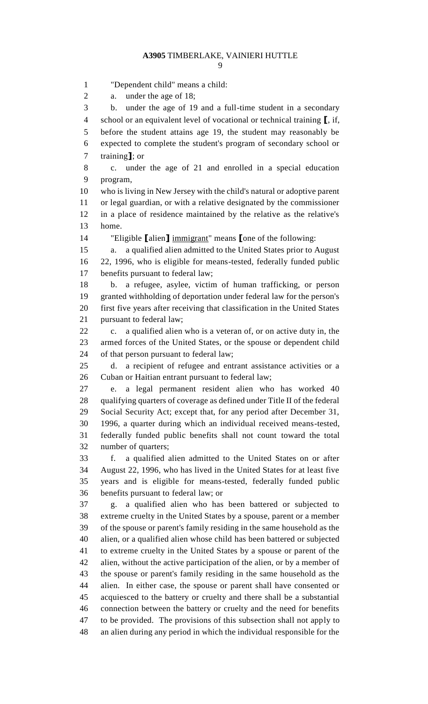"Dependent child" means a child: a. under the age of 18; b. under the age of 19 and a full-time student in a secondary school or an equivalent level of vocational or technical training **[**, if, before the student attains age 19, the student may reasonably be expected to complete the student's program of secondary school or training**]**; or c. under the age of 21 and enrolled in a special education program, who is living in New Jersey with the child's natural or adoptive parent or legal guardian, or with a relative designated by the commissioner in a place of residence maintained by the relative as the relative's home. "Eligible **[**alien**]** immigrant" means **[**one of the following: a. a qualified alien admitted to the United States prior to August 22, 1996, who is eligible for means-tested, federally funded public benefits pursuant to federal law; b. a refugee, asylee, victim of human trafficking, or person granted withholding of deportation under federal law for the person's first five years after receiving that classification in the United States pursuant to federal law; c. a qualified alien who is a veteran of, or on active duty in, the armed forces of the United States, or the spouse or dependent child of that person pursuant to federal law; d. a recipient of refugee and entrant assistance activities or a Cuban or Haitian entrant pursuant to federal law; e. a legal permanent resident alien who has worked 40 qualifying quarters of coverage as defined under Title II of the federal Social Security Act; except that, for any period after December 31, 1996, a quarter during which an individual received means-tested, federally funded public benefits shall not count toward the total number of quarters; f. a qualified alien admitted to the United States on or after August 22, 1996, who has lived in the United States for at least five years and is eligible for means-tested, federally funded public benefits pursuant to federal law; or g. a qualified alien who has been battered or subjected to extreme cruelty in the United States by a spouse, parent or a member of the spouse or parent's family residing in the same household as the alien, or a qualified alien whose child has been battered or subjected to extreme cruelty in the United States by a spouse or parent of the alien, without the active participation of the alien, or by a member of the spouse or parent's family residing in the same household as the alien. In either case, the spouse or parent shall have consented or acquiesced to the battery or cruelty and there shall be a substantial connection between the battery or cruelty and the need for benefits to be provided. The provisions of this subsection shall not apply to

an alien during any period in which the individual responsible for the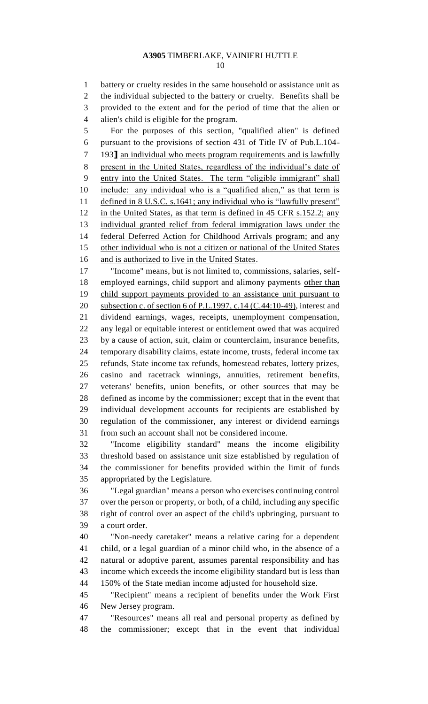battery or cruelty resides in the same household or assistance unit as the individual subjected to the battery or cruelty. Benefits shall be provided to the extent and for the period of time that the alien or alien's child is eligible for the program.

 For the purposes of this section, "qualified alien" is defined pursuant to the provisions of section 431 of Title IV of Pub.L.104-

193**]** an individual who meets program requirements and is lawfully

 present in the United States, regardless of the individual's date of entry into the United States. The term "eligible immigrant" shall

include: any individual who is a "qualified alien," as that term is

 defined in 8 U.S.C. s.1641; any individual who is "lawfully present" 12 in the United States, as that term is defined in 45 CFR s.152.2; any

individual granted relief from federal immigration laws under the

federal Deferred Action for Childhood Arrivals program; and any

other individual who is not a citizen or national of the United States

and is authorized to live in the United States.

 "Income" means, but is not limited to, commissions, salaries, self-18 employed earnings, child support and alimony payments other than 19 child support payments provided to an assistance unit pursuant to 20 subsection c. of section 6 of P.L.1997, c.14  $(C.44:10-49)$ , interest and dividend earnings, wages, receipts, unemployment compensation, any legal or equitable interest or entitlement owed that was acquired by a cause of action, suit, claim or counterclaim, insurance benefits, temporary disability claims, estate income, trusts, federal income tax refunds, State income tax refunds, homestead rebates, lottery prizes, casino and racetrack winnings, annuities, retirement benefits, veterans' benefits, union benefits, or other sources that may be defined as income by the commissioner; except that in the event that individual development accounts for recipients are established by regulation of the commissioner, any interest or dividend earnings from such an account shall not be considered income.

 "Income eligibility standard" means the income eligibility threshold based on assistance unit size established by regulation of the commissioner for benefits provided within the limit of funds appropriated by the Legislature.

 "Legal guardian" means a person who exercises continuing control over the person or property, or both, of a child, including any specific right of control over an aspect of the child's upbringing, pursuant to a court order.

 "Non-needy caretaker" means a relative caring for a dependent child, or a legal guardian of a minor child who, in the absence of a natural or adoptive parent, assumes parental responsibility and has income which exceeds the income eligibility standard but is less than 150% of the State median income adjusted for household size.

 "Recipient" means a recipient of benefits under the Work First New Jersey program.

 "Resources" means all real and personal property as defined by the commissioner; except that in the event that individual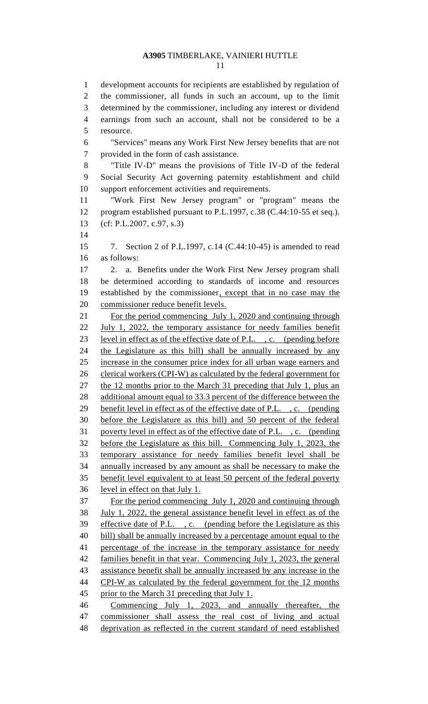development accounts for recipients are established by regulation of the commissioner, all funds in such an account, up to the limit determined by the commissioner, including any interest or dividend earnings from such an account, shall not be considered to be a resource. "Services" means any Work First New Jersey benefits that are not provided in the form of cash assistance. "Title IV-D" means the provisions of Title IV-D of the federal Social Security Act governing paternity establishment and child support enforcement activities and requirements. "Work First New Jersey program" or "program" means the program established pursuant to P.L.1997, c.38 (C.44:10-55 et seq.). (cf: P.L.2007, c.97, s.3) 7. Section 2 of P.L.1997, c.14 (C.44:10-45) is amended to read as follows: 2. a. Benefits under the Work First New Jersey program shall be determined according to standards of income and resources established by the commissioner, except that in no case may the commissioner reduce benefit levels. For the period commencing July 1, 2020 and continuing through July 1, 2022, the temporary assistance for needy families benefit level in effect as of the effective date of P.L. , c. (pending before the Legislature as this bill) shall be annually increased by any increase in the consumer price index for all urban wage earners and 26 clerical workers (CPI-W) as calculated by the federal government for 27 the 12 months prior to the March 31 preceding that July 1, plus an additional amount equal to 33.3 percent of the difference between the 29 benefit level in effect as of the effective date of P.L., c. (pending before the Legislature as this bill) and 50 percent of the federal poverty level in effect as of the effective date of P.L. , c. (pending before the Legislature as this bill. Commencing July 1, 2023, the temporary assistance for needy families benefit level shall be annually increased by any amount as shall be necessary to make the benefit level equivalent to at least 50 percent of the federal poverty level in effect on that July 1. For the period commencing July 1, 2020 and continuing through July 1, 2022, the general assistance benefit level in effect as of the effective date of P.L. , c. (pending before the Legislature as this bill) shall be annually increased by a percentage amount equal to the percentage of the increase in the temporary assistance for needy families benefit in that year. Commencing July 1, 2023, the general assistance benefit shall be annually increased by any increase in the CPI-W as calculated by the federal government for the 12 months 45 prior to the March 31 preceding that July 1. Commencing July 1, 2023, and annually thereafter, the commissioner shall assess the real cost of living and actual deprivation as reflected in the current standard of need established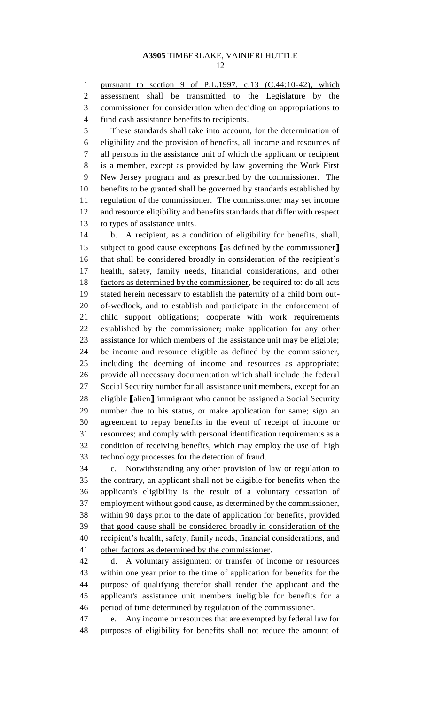pursuant to section 9 of P.L.1997, c.13 (C.44:10-42), which assessment shall be transmitted to the Legislature by the commissioner for consideration when deciding on appropriations to fund cash assistance benefits to recipients. These standards shall take into account, for the determination of eligibility and the provision of benefits, all income and resources of all persons in the assistance unit of which the applicant or recipient is a member, except as provided by law governing the Work First New Jersey program and as prescribed by the commissioner. The benefits to be granted shall be governed by standards established by regulation of the commissioner. The commissioner may set income and resource eligibility and benefits standards that differ with respect to types of assistance units. b. A recipient, as a condition of eligibility for benefits, shall, subject to good cause exceptions **[**as defined by the commissioner**]** that shall be considered broadly in consideration of the recipient's health, safety, family needs, financial considerations, and other factors as determined by the commissioner, be required to: do all acts stated herein necessary to establish the paternity of a child born out- of-wedlock, and to establish and participate in the enforcement of child support obligations; cooperate with work requirements established by the commissioner; make application for any other assistance for which members of the assistance unit may be eligible; be income and resource eligible as defined by the commissioner, including the deeming of income and resources as appropriate; provide all necessary documentation which shall include the federal Social Security number for all assistance unit members, except for an eligible **[**alien**]** immigrant who cannot be assigned a Social Security number due to his status, or make application for same; sign an agreement to repay benefits in the event of receipt of income or resources; and comply with personal identification requirements as a condition of receiving benefits, which may employ the use of high technology processes for the detection of fraud. c. Notwithstanding any other provision of law or regulation to

 the contrary, an applicant shall not be eligible for benefits when the applicant's eligibility is the result of a voluntary cessation of employment without good cause, as determined by the commissioner, within 90 days prior to the date of application for benefits, provided that good cause shall be considered broadly in consideration of the 40 recipient's health, safety, family needs, financial considerations, and other factors as determined by the commissioner.

 d. A voluntary assignment or transfer of income or resources within one year prior to the time of application for benefits for the purpose of qualifying therefor shall render the applicant and the applicant's assistance unit members ineligible for benefits for a period of time determined by regulation of the commissioner.

 e. Any income or resources that are exempted by federal law for purposes of eligibility for benefits shall not reduce the amount of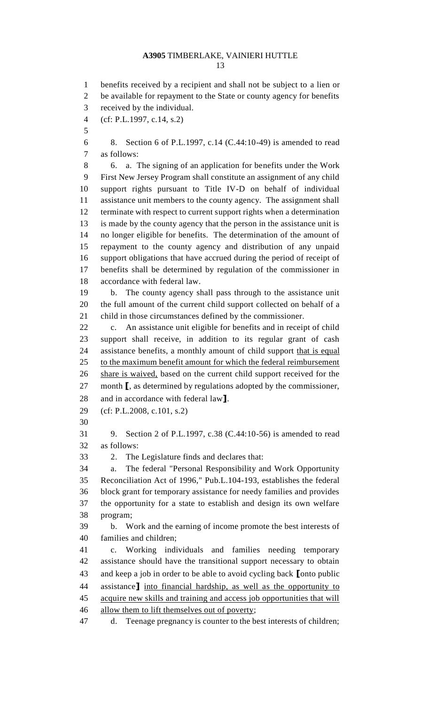benefits received by a recipient and shall not be subject to a lien or be available for repayment to the State or county agency for benefits received by the individual. (cf: P.L.1997, c.14, s.2) 8. Section 6 of P.L.1997, c.14 (C.44:10-49) is amended to read as follows: 6. a. The signing of an application for benefits under the Work First New Jersey Program shall constitute an assignment of any child support rights pursuant to Title IV-D on behalf of individual assistance unit members to the county agency. The assignment shall terminate with respect to current support rights when a determination is made by the county agency that the person in the assistance unit is no longer eligible for benefits. The determination of the amount of repayment to the county agency and distribution of any unpaid support obligations that have accrued during the period of receipt of benefits shall be determined by regulation of the commissioner in accordance with federal law. b. The county agency shall pass through to the assistance unit the full amount of the current child support collected on behalf of a child in those circumstances defined by the commissioner. c. An assistance unit eligible for benefits and in receipt of child support shall receive, in addition to its regular grant of cash 24 assistance benefits, a monthly amount of child support that is equal 25 to the maximum benefit amount for which the federal reimbursement 26 share is waived, based on the current child support received for the month **[**, as determined by regulations adopted by the commissioner, and in accordance with federal law**]**. (cf: P.L.2008, c.101, s.2) 9. Section 2 of P.L.1997, c.38 (C.44:10-56) is amended to read as follows: 2. The Legislature finds and declares that: a. The federal "Personal Responsibility and Work Opportunity Reconciliation Act of 1996," Pub.L.104-193, establishes the federal block grant for temporary assistance for needy families and provides the opportunity for a state to establish and design its own welfare program; b. Work and the earning of income promote the best interests of families and children; c. Working individuals and families needing temporary assistance should have the transitional support necessary to obtain and keep a job in order to be able to avoid cycling back **[**onto public assistance**]** into financial hardship, as well as the opportunity to acquire new skills and training and access job opportunities that will 46 allow them to lift themselves out of poverty;

d. Teenage pregnancy is counter to the best interests of children;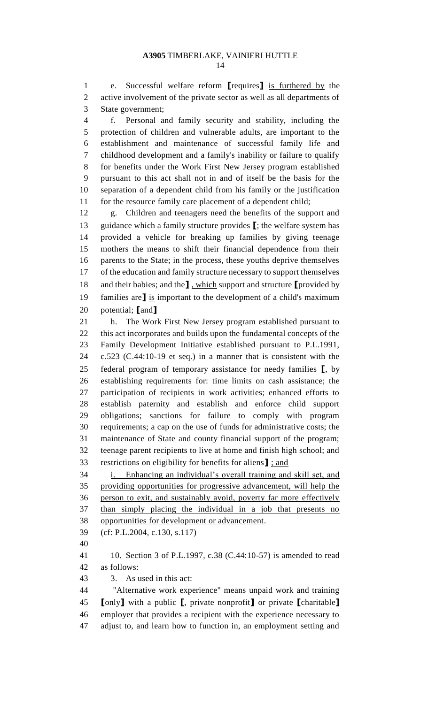e. Successful welfare reform **[**requires**]** is furthered by the active involvement of the private sector as well as all departments of State government;

 f. Personal and family security and stability, including the protection of children and vulnerable adults, are important to the establishment and maintenance of successful family life and childhood development and a family's inability or failure to qualify for benefits under the Work First New Jersey program established pursuant to this act shall not in and of itself be the basis for the separation of a dependent child from his family or the justification 11 for the resource family care placement of a dependent child;

 g. Children and teenagers need the benefits of the support and guidance which a family structure provides **[**; the welfare system has provided a vehicle for breaking up families by giving teenage mothers the means to shift their financial dependence from their parents to the State; in the process, these youths deprive themselves of the education and family structure necessary to support themselves and their babies; and the**]** , which support and structure **[**provided by families are**]** is important to the development of a child's maximum potential; **[**and**]**

 h. The Work First New Jersey program established pursuant to this act incorporates and builds upon the fundamental concepts of the Family Development Initiative established pursuant to P.L.1991, c.523 (C.44:10-19 et seq.) in a manner that is consistent with the federal program of temporary assistance for needy families **[**, by establishing requirements for: time limits on cash assistance; the participation of recipients in work activities; enhanced efforts to establish paternity and establish and enforce child support obligations; sanctions for failure to comply with program requirements; a cap on the use of funds for administrative costs; the maintenance of State and county financial support of the program; teenage parent recipients to live at home and finish high school; and restrictions on eligibility for benefits for aliens**]** ; and

 i. Enhancing an individual's overall training and skill set, and providing opportunities for progressive advancement, will help the person to exit, and sustainably avoid, poverty far more effectively than simply placing the individual in a job that presents no opportunities for development or advancement.

(cf: P.L.2004, c.130, s.117)

 10. Section 3 of P.L.1997, c.38 (C.44:10-57) is amended to read as follows:

3. As used in this act:

 "Alternative work experience" means unpaid work and training **[**only**]** with a public **[**, private nonprofit**]** or private **[**charitable**]** employer that provides a recipient with the experience necessary to adjust to, and learn how to function in, an employment setting and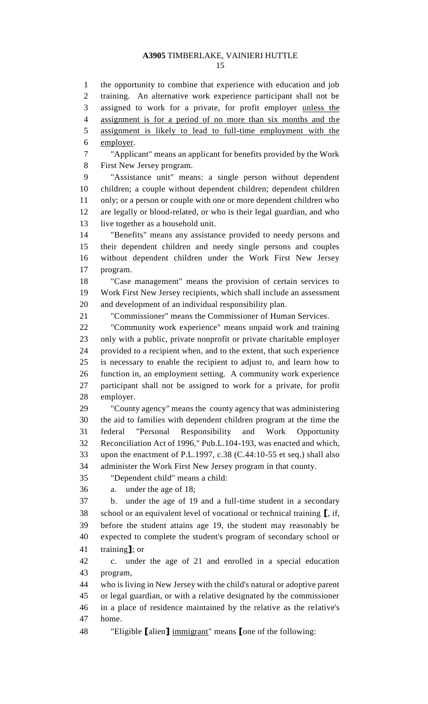the opportunity to combine that experience with education and job training. An alternative work experience participant shall not be assigned to work for a private, for profit employer unless the assignment is for a period of no more than six months and the assignment is likely to lead to full-time employment with the employer. "Applicant" means an applicant for benefits provided by the Work First New Jersey program. "Assistance unit" means: a single person without dependent children; a couple without dependent children; dependent children only; or a person or couple with one or more dependent children who are legally or blood-related, or who is their legal guardian, and who live together as a household unit. "Benefits" means any assistance provided to needy persons and their dependent children and needy single persons and couples without dependent children under the Work First New Jersey program. "Case management" means the provision of certain services to Work First New Jersey recipients, which shall include an assessment and development of an individual responsibility plan. "Commissioner" means the Commissioner of Human Services. "Community work experience" means unpaid work and training only with a public, private nonprofit or private charitable employer provided to a recipient when, and to the extent, that such experience is necessary to enable the recipient to adjust to, and learn how to function in, an employment setting. A community work experience participant shall not be assigned to work for a private, for profit employer. "County agency" means the county agency that was administering the aid to families with dependent children program at the time the federal "Personal Responsibility and Work Opportunity Reconciliation Act of 1996," Pub.L.104-193, was enacted and which, upon the enactment of P.L.1997, c.38 (C.44:10-55 et seq.) shall also administer the Work First New Jersey program in that county. "Dependent child" means a child: a. under the age of 18; b. under the age of 19 and a full-time student in a secondary school or an equivalent level of vocational or technical training **[**, if, before the student attains age 19, the student may reasonably be expected to complete the student's program of secondary school or training**]**; or c. under the age of 21 and enrolled in a special education program, who is living in New Jersey with the child's natural or adoptive parent or legal guardian, or with a relative designated by the commissioner in a place of residence maintained by the relative as the relative's home. "Eligible **[**alien**]** immigrant" means **[**one of the following: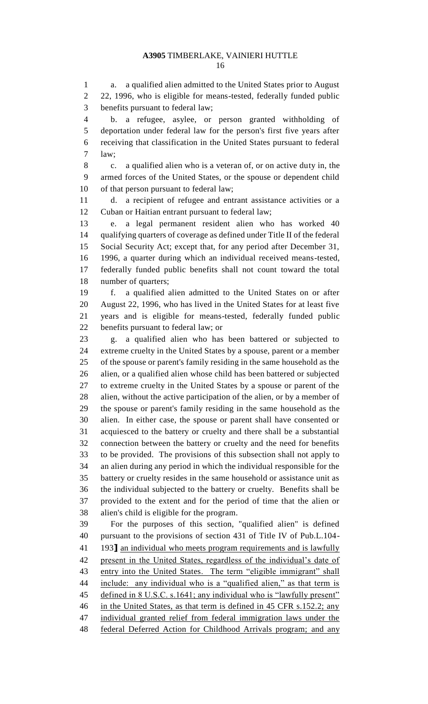a. a qualified alien admitted to the United States prior to August 22, 1996, who is eligible for means-tested, federally funded public benefits pursuant to federal law;

 b. a refugee, asylee, or person granted withholding of deportation under federal law for the person's first five years after receiving that classification in the United States pursuant to federal law;

 c. a qualified alien who is a veteran of, or on active duty in, the armed forces of the United States, or the spouse or dependent child of that person pursuant to federal law;

 d. a recipient of refugee and entrant assistance activities or a Cuban or Haitian entrant pursuant to federal law;

 e. a legal permanent resident alien who has worked 40 qualifying quarters of coverage as defined under Title II of the federal Social Security Act; except that, for any period after December 31, 1996, a quarter during which an individual received means-tested, federally funded public benefits shall not count toward the total number of quarters;

 f. a qualified alien admitted to the United States on or after August 22, 1996, who has lived in the United States for at least five years and is eligible for means-tested, federally funded public benefits pursuant to federal law; or

 g. a qualified alien who has been battered or subjected to extreme cruelty in the United States by a spouse, parent or a member of the spouse or parent's family residing in the same household as the alien, or a qualified alien whose child has been battered or subjected to extreme cruelty in the United States by a spouse or parent of the alien, without the active participation of the alien, or by a member of the spouse or parent's family residing in the same household as the alien. In either case, the spouse or parent shall have consented or acquiesced to the battery or cruelty and there shall be a substantial connection between the battery or cruelty and the need for benefits to be provided. The provisions of this subsection shall not apply to an alien during any period in which the individual responsible for the battery or cruelty resides in the same household or assistance unit as the individual subjected to the battery or cruelty. Benefits shall be provided to the extent and for the period of time that the alien or alien's child is eligible for the program.

 For the purposes of this section, "qualified alien" is defined pursuant to the provisions of section 431 of Title IV of Pub.L.104- 193**]** an individual who meets program requirements and is lawfully present in the United States, regardless of the individual's date of entry into the United States. The term "eligible immigrant" shall 44 include: any individual who is a "qualified alien," as that term is defined in 8 U.S.C. s.1641; any individual who is "lawfully present" in the United States, as that term is defined in 45 CFR s.152.2; any individual granted relief from federal immigration laws under the federal Deferred Action for Childhood Arrivals program; and any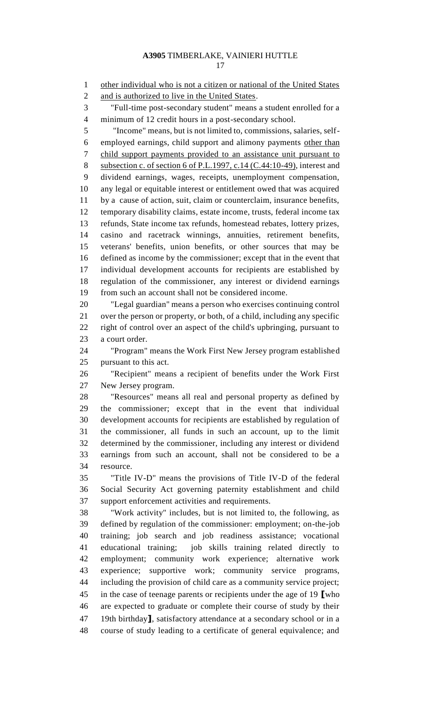other individual who is not a citizen or national of the United States 2 and is authorized to live in the United States. "Full-time post-secondary student" means a student enrolled for a minimum of 12 credit hours in a post-secondary school. "Income" means, but is not limited to, commissions, salaries, self- employed earnings, child support and alimony payments other than child support payments provided to an assistance unit pursuant to 8 subsection c. of section 6 of P.L.1997, c.14 (C.44:10-49), interest and dividend earnings, wages, receipts, unemployment compensation, any legal or equitable interest or entitlement owed that was acquired by a cause of action, suit, claim or counterclaim, insurance benefits, temporary disability claims, estate income, trusts, federal income tax refunds, State income tax refunds, homestead rebates, lottery prizes, casino and racetrack winnings, annuities, retirement benefits, veterans' benefits, union benefits, or other sources that may be defined as income by the commissioner; except that in the event that individual development accounts for recipients are established by regulation of the commissioner, any interest or dividend earnings from such an account shall not be considered income. "Legal guardian" means a person who exercises continuing control over the person or property, or both, of a child, including any specific right of control over an aspect of the child's upbringing, pursuant to a court order. "Program" means the Work First New Jersey program established pursuant to this act. "Recipient" means a recipient of benefits under the Work First New Jersey program. "Resources" means all real and personal property as defined by the commissioner; except that in the event that individual development accounts for recipients are established by regulation of the commissioner, all funds in such an account, up to the limit determined by the commissioner, including any interest or dividend earnings from such an account, shall not be considered to be a resource. "Title IV-D" means the provisions of Title IV-D of the federal Social Security Act governing paternity establishment and child support enforcement activities and requirements. "Work activity" includes, but is not limited to, the following, as defined by regulation of the commissioner: employment; on-the-job training; job search and job readiness assistance; vocational educational training; job skills training related directly to employment; community work experience; alternative work experience; supportive work; community service programs, including the provision of child care as a community service project; in the case of teenage parents or recipients under the age of 19 **[**who are expected to graduate or complete their course of study by their 19th birthday**]**, satisfactory attendance at a secondary school or in a course of study leading to a certificate of general equivalence; and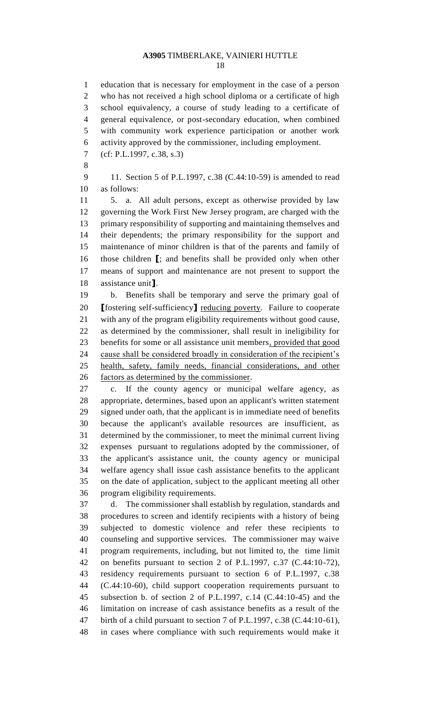education that is necessary for employment in the case of a person who has not received a high school diploma or a certificate of high school equivalency, a course of study leading to a certificate of general equivalence, or post-secondary education, when combined with community work experience participation or another work activity approved by the commissioner, including employment. (cf: P.L.1997, c.38, s.3) 11. Section 5 of P.L.1997, c.38 (C.44:10-59) is amended to read as follows:

 5. a. All adult persons, except as otherwise provided by law governing the Work First New Jersey program, are charged with the primary responsibility of supporting and maintaining themselves and their dependents; the primary responsibility for the support and maintenance of minor children is that of the parents and family of those children **[**; and benefits shall be provided only when other means of support and maintenance are not present to support the assistance unit**]**.

 b. Benefits shall be temporary and serve the primary goal of **[**fostering self-sufficiency**]** reducing poverty. Failure to cooperate with any of the program eligibility requirements without good cause, as determined by the commissioner, shall result in ineligibility for benefits for some or all assistance unit members, provided that good 24 cause shall be considered broadly in consideration of the recipient's health, safety, family needs, financial considerations, and other factors as determined by the commissioner.

 c. If the county agency or municipal welfare agency, as appropriate, determines, based upon an applicant's written statement signed under oath, that the applicant is in immediate need of benefits because the applicant's available resources are insufficient, as determined by the commissioner, to meet the minimal current living expenses pursuant to regulations adopted by the commissioner, of the applicant's assistance unit, the county agency or municipal welfare agency shall issue cash assistance benefits to the applicant on the date of application, subject to the applicant meeting all other program eligibility requirements.

 d. The commissioner shall establish by regulation, standards and procedures to screen and identify recipients with a history of being subjected to domestic violence and refer these recipients to counseling and supportive services. The commissioner may waive program requirements, including, but not limited to, the time limit on benefits pursuant to section 2 of P.L.1997, c.37 (C.44:10-72), residency requirements pursuant to section 6 of P.L.1997, c.38 (C.44:10-60), child support cooperation requirements pursuant to subsection b. of section 2 of P.L.1997, c.14 (C.44:10-45) and the limitation on increase of cash assistance benefits as a result of the birth of a child pursuant to section 7 of P.L.1997, c.38 (C.44:10-61), in cases where compliance with such requirements would make it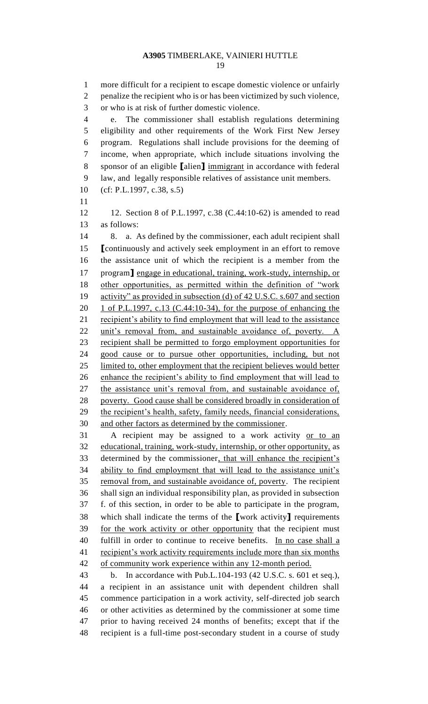more difficult for a recipient to escape domestic violence or unfairly penalize the recipient who is or has been victimized by such violence, or who is at risk of further domestic violence. e. The commissioner shall establish regulations determining eligibility and other requirements of the Work First New Jersey program. Regulations shall include provisions for the deeming of income, when appropriate, which include situations involving the sponsor of an eligible **[**alien**]** immigrant in accordance with federal law, and legally responsible relatives of assistance unit members. (cf: P.L.1997, c.38, s.5) 12. Section 8 of P.L.1997, c.38 (C.44:10-62) is amended to read as follows: 8. a. As defined by the commissioner, each adult recipient shall **[**continuously and actively seek employment in an effort to remove the assistance unit of which the recipient is a member from the program**]** engage in educational, training, work-study, internship, or other opportunities, as permitted within the definition of "work activity" as provided in subsection (d) of 42 U.S.C. s.607 and section 1 of P.L.1997, c.13 (C.44:10-34), for the purpose of enhancing the 21 recipient's ability to find employment that will lead to the assistance 22 unit's removal from, and sustainable avoidance of, poverty. A recipient shall be permitted to forgo employment opportunities for good cause or to pursue other opportunities, including, but not limited to, other employment that the recipient believes would better 26 enhance the recipient's ability to find employment that will lead to 27 the assistance unit's removal from, and sustainable avoidance of, poverty. Good cause shall be considered broadly in consideration of 29 the recipient's health, safety, family needs, financial considerations, and other factors as determined by the commissioner. A recipient may be assigned to a work activity or to an educational, training, work-study, internship, or other opportunity, as determined by the commissioner, that will enhance the recipient's ability to find employment that will lead to the assistance unit's 35 removal from, and sustainable avoidance of, poverty. The recipient shall sign an individual responsibility plan, as provided in subsection f. of this section, in order to be able to participate in the program, which shall indicate the terms of the **[**work activity**]** requirements for the work activity or other opportunity that the recipient must fulfill in order to continue to receive benefits. In no case shall a recipient's work activity requirements include more than six months of community work experience within any 12-month period. b. In accordance with Pub.L.104-193 (42 U.S.C. s. 601 et seq.), a recipient in an assistance unit with dependent children shall commence participation in a work activity, self-directed job search or other activities as determined by the commissioner at some time prior to having received 24 months of benefits; except that if the recipient is a full-time post-secondary student in a course of study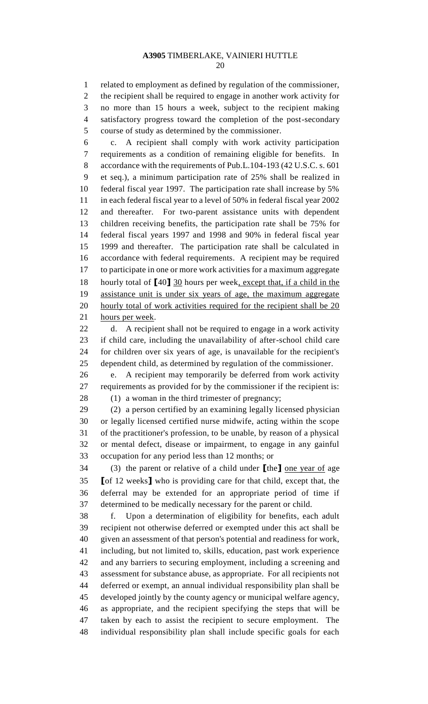related to employment as defined by regulation of the commissioner, the recipient shall be required to engage in another work activity for no more than 15 hours a week, subject to the recipient making satisfactory progress toward the completion of the post-secondary course of study as determined by the commissioner.

 c. A recipient shall comply with work activity participation requirements as a condition of remaining eligible for benefits. In accordance with the requirements of Pub.L.104-193 (42 U.S.C. s. 601 et seq.), a minimum participation rate of 25% shall be realized in federal fiscal year 1997. The participation rate shall increase by 5% in each federal fiscal year to a level of 50% in federal fiscal year 2002 and thereafter. For two-parent assistance units with dependent children receiving benefits, the participation rate shall be 75% for federal fiscal years 1997 and 1998 and 90% in federal fiscal year 1999 and thereafter. The participation rate shall be calculated in accordance with federal requirements. A recipient may be required to participate in one or more work activities for a maximum aggregate hourly total of **[**40**]** 30 hours per week, except that, if a child in the assistance unit is under six years of age, the maximum aggregate 20 hourly total of work activities required for the recipient shall be 20 hours per week.

 d. A recipient shall not be required to engage in a work activity if child care, including the unavailability of after-school child care for children over six years of age, is unavailable for the recipient's dependent child, as determined by regulation of the commissioner.

 e. A recipient may temporarily be deferred from work activity requirements as provided for by the commissioner if the recipient is:

(1) a woman in the third trimester of pregnancy;

 (2) a person certified by an examining legally licensed physician or legally licensed certified nurse midwife, acting within the scope of the practitioner's profession, to be unable, by reason of a physical or mental defect, disease or impairment, to engage in any gainful occupation for any period less than 12 months; or

 (3) the parent or relative of a child under **[**the**]** one year of age **[**of 12 weeks**]** who is providing care for that child, except that, the deferral may be extended for an appropriate period of time if determined to be medically necessary for the parent or child.

 f. Upon a determination of eligibility for benefits, each adult recipient not otherwise deferred or exempted under this act shall be given an assessment of that person's potential and readiness for work, including, but not limited to, skills, education, past work experience and any barriers to securing employment, including a screening and assessment for substance abuse, as appropriate. For all recipients not deferred or exempt, an annual individual responsibility plan shall be developed jointly by the county agency or municipal welfare agency, as appropriate, and the recipient specifying the steps that will be taken by each to assist the recipient to secure employment. The individual responsibility plan shall include specific goals for each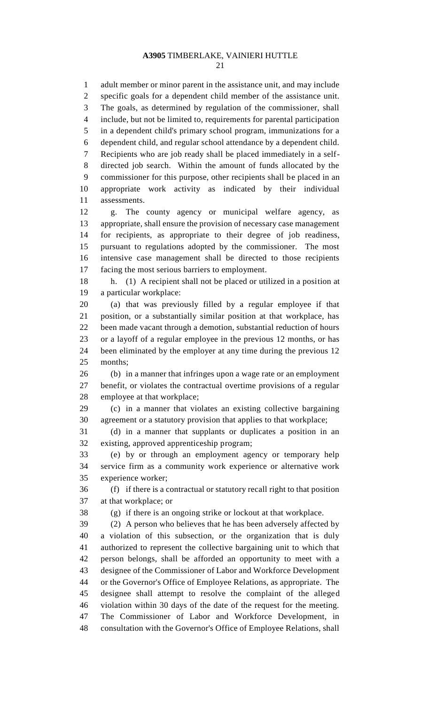adult member or minor parent in the assistance unit, and may include specific goals for a dependent child member of the assistance unit. The goals, as determined by regulation of the commissioner, shall include, but not be limited to, requirements for parental participation in a dependent child's primary school program, immunizations for a dependent child, and regular school attendance by a dependent child. Recipients who are job ready shall be placed immediately in a self- directed job search. Within the amount of funds allocated by the commissioner for this purpose, other recipients shall be placed in an appropriate work activity as indicated by their individual assessments. g. The county agency or municipal welfare agency, as appropriate, shall ensure the provision of necessary case management

 for recipients, as appropriate to their degree of job readiness, pursuant to regulations adopted by the commissioner. The most intensive case management shall be directed to those recipients facing the most serious barriers to employment.

 h. (1) A recipient shall not be placed or utilized in a position at a particular workplace:

 (a) that was previously filled by a regular employee if that position, or a substantially similar position at that workplace, has been made vacant through a demotion, substantial reduction of hours or a layoff of a regular employee in the previous 12 months, or has been eliminated by the employer at any time during the previous 12 months;

 (b) in a manner that infringes upon a wage rate or an employment benefit, or violates the contractual overtime provisions of a regular employee at that workplace;

 (c) in a manner that violates an existing collective bargaining agreement or a statutory provision that applies to that workplace;

 (d) in a manner that supplants or duplicates a position in an existing, approved apprenticeship program;

 (e) by or through an employment agency or temporary help service firm as a community work experience or alternative work experience worker;

 (f) if there is a contractual or statutory recall right to that position at that workplace; or

(g) if there is an ongoing strike or lockout at that workplace.

 (2) A person who believes that he has been adversely affected by a violation of this subsection, or the organization that is duly authorized to represent the collective bargaining unit to which that person belongs, shall be afforded an opportunity to meet with a designee of the Commissioner of Labor and Workforce Development or the Governor's Office of Employee Relations, as appropriate. The designee shall attempt to resolve the complaint of the alleged violation within 30 days of the date of the request for the meeting. The Commissioner of Labor and Workforce Development, in consultation with the Governor's Office of Employee Relations, shall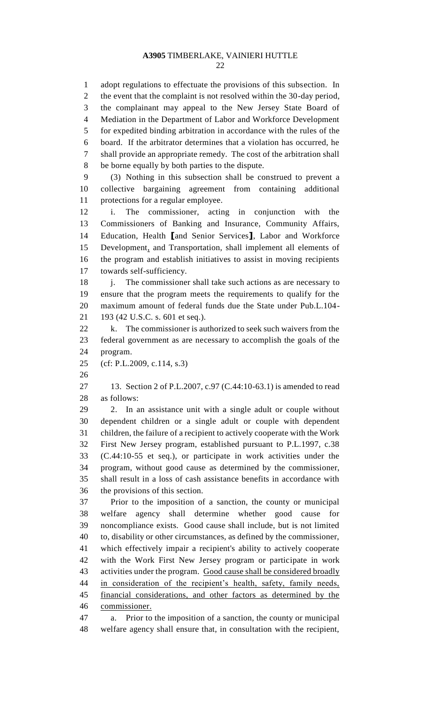adopt regulations to effectuate the provisions of this subsection. In 2 the event that the complaint is not resolved within the 30-day period, the complainant may appeal to the New Jersey State Board of Mediation in the Department of Labor and Workforce Development for expedited binding arbitration in accordance with the rules of the board. If the arbitrator determines that a violation has occurred, he shall provide an appropriate remedy. The cost of the arbitration shall be borne equally by both parties to the dispute. (3) Nothing in this subsection shall be construed to prevent a collective bargaining agreement from containing additional protections for a regular employee. i. The commissioner, acting in conjunction with the Commissioners of Banking and Insurance, Community Affairs, Education, Health **[**and Senior Services**]**, Labor and Workforce Development, and Transportation, shall implement all elements of the program and establish initiatives to assist in moving recipients towards self-sufficiency. 18 j. The commissioner shall take such actions as are necessary to ensure that the program meets the requirements to qualify for the maximum amount of federal funds due the State under Pub.L.104- 193 (42 U.S.C. s. 601 et seq.). 22 k. The commissioner is authorized to seek such waivers from the federal government as are necessary to accomplish the goals of the program. (cf: P.L.2009, c.114, s.3) 13. Section 2 of P.L.2007, c.97 (C.44:10-63.1) is amended to read as follows: 2. In an assistance unit with a single adult or couple without dependent children or a single adult or couple with dependent children, the failure of a recipient to actively cooperate with the Work First New Jersey program, established pursuant to P.L.1997, c.38 (C.44:10-55 et seq.), or participate in work activities under the program, without good cause as determined by the commissioner, shall result in a loss of cash assistance benefits in accordance with the provisions of this section. Prior to the imposition of a sanction, the county or municipal welfare agency shall determine whether good cause for noncompliance exists. Good cause shall include, but is not limited to, disability or other circumstances, as defined by the commissioner, which effectively impair a recipient's ability to actively cooperate with the Work First New Jersey program or participate in work activities under the program. Good cause shall be considered broadly 44 in consideration of the recipient's health, safety, family needs, financial considerations, and other factors as determined by the commissioner. a. Prior to the imposition of a sanction, the county or municipal welfare agency shall ensure that, in consultation with the recipient,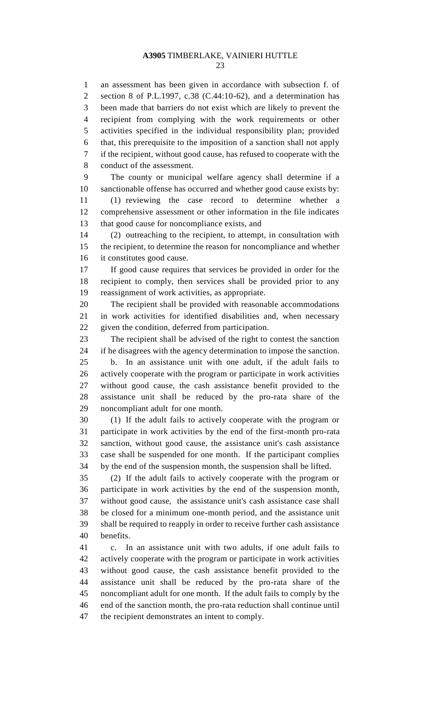an assessment has been given in accordance with subsection f. of section 8 of P.L.1997, c.38 (C.44:10-62), and a determination has been made that barriers do not exist which are likely to prevent the recipient from complying with the work requirements or other activities specified in the individual responsibility plan; provided that, this prerequisite to the imposition of a sanction shall not apply if the recipient, without good cause, has refused to cooperate with the conduct of the assessment.

 The county or municipal welfare agency shall determine if a sanctionable offense has occurred and whether good cause exists by:

 (1) reviewing the case record to determine whether a comprehensive assessment or other information in the file indicates that good cause for noncompliance exists, and

 (2) outreaching to the recipient, to attempt, in consultation with the recipient, to determine the reason for noncompliance and whether it constitutes good cause.

 If good cause requires that services be provided in order for the recipient to comply, then services shall be provided prior to any reassignment of work activities, as appropriate.

 The recipient shall be provided with reasonable accommodations in work activities for identified disabilities and, when necessary given the condition, deferred from participation.

 The recipient shall be advised of the right to contest the sanction if he disagrees with the agency determination to impose the sanction. b. In an assistance unit with one adult, if the adult fails to actively cooperate with the program or participate in work activities without good cause, the cash assistance benefit provided to the assistance unit shall be reduced by the pro-rata share of the noncompliant adult for one month.

 (1) If the adult fails to actively cooperate with the program or participate in work activities by the end of the first-month pro-rata sanction, without good cause, the assistance unit's cash assistance case shall be suspended for one month. If the participant complies by the end of the suspension month, the suspension shall be lifted.

 (2) If the adult fails to actively cooperate with the program or participate in work activities by the end of the suspension month, without good cause, the assistance unit's cash assistance case shall be closed for a minimum one-month period, and the assistance unit shall be required to reapply in order to receive further cash assistance benefits.

 c. In an assistance unit with two adults, if one adult fails to actively cooperate with the program or participate in work activities without good cause, the cash assistance benefit provided to the assistance unit shall be reduced by the pro-rata share of the noncompliant adult for one month. If the adult fails to comply by the end of the sanction month, the pro-rata reduction shall continue until the recipient demonstrates an intent to comply.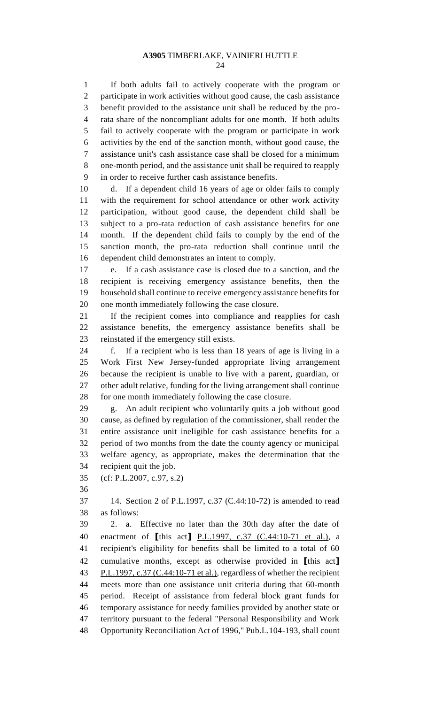If both adults fail to actively cooperate with the program or participate in work activities without good cause, the cash assistance benefit provided to the assistance unit shall be reduced by the pro- rata share of the noncompliant adults for one month. If both adults fail to actively cooperate with the program or participate in work activities by the end of the sanction month, without good cause, the assistance unit's cash assistance case shall be closed for a minimum one-month period, and the assistance unit shall be required to reapply in order to receive further cash assistance benefits.

 d. If a dependent child 16 years of age or older fails to comply with the requirement for school attendance or other work activity participation, without good cause, the dependent child shall be subject to a pro-rata reduction of cash assistance benefits for one month. If the dependent child fails to comply by the end of the sanction month, the pro-rata reduction shall continue until the dependent child demonstrates an intent to comply.

 e. If a cash assistance case is closed due to a sanction, and the recipient is receiving emergency assistance benefits, then the household shall continue to receive emergency assistance benefits for one month immediately following the case closure.

 If the recipient comes into compliance and reapplies for cash assistance benefits, the emergency assistance benefits shall be reinstated if the emergency still exists.

 f. If a recipient who is less than 18 years of age is living in a Work First New Jersey-funded appropriate living arrangement because the recipient is unable to live with a parent, guardian, or other adult relative, funding for the living arrangement shall continue 28 for one month immediately following the case closure.

 g. An adult recipient who voluntarily quits a job without good cause, as defined by regulation of the commissioner, shall render the entire assistance unit ineligible for cash assistance benefits for a period of two months from the date the county agency or municipal welfare agency, as appropriate, makes the determination that the recipient quit the job.

(cf: P.L.2007, c.97, s.2)

 14. Section 2 of P.L.1997, c.37 (C.44:10-72) is amended to read as follows:

 2. a. Effective no later than the 30th day after the date of enactment of **[**this act**]** P.L.1997, c.37 (C.44:10-71 et al.), a recipient's eligibility for benefits shall be limited to a total of 60 cumulative months, except as otherwise provided in **[**this act**]** 43 P.L.1997, c.37 (C.44:10-71 et al.), regardless of whether the recipient meets more than one assistance unit criteria during that 60-month period. Receipt of assistance from federal block grant funds for temporary assistance for needy families provided by another state or territory pursuant to the federal "Personal Responsibility and Work Opportunity Reconciliation Act of 1996," Pub.L.104-193, shall count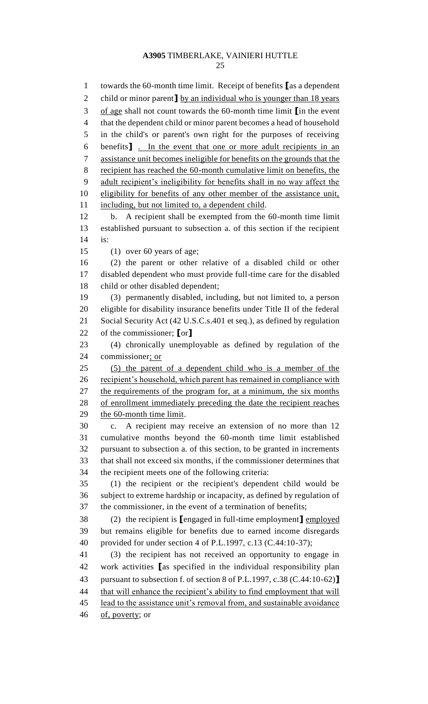towards the 60-month time limit. Receipt of benefits **[**as a dependent 2 child or minor parent **J** by an individual who is younger than 18 years of age shall not count towards the 60-month time limit **[**in the event that the dependent child or minor parent becomes a head of household in the child's or parent's own right for the purposes of receiving benefits**]** . In the event that one or more adult recipients in an assistance unit becomes ineligible for benefits on the grounds that the recipient has reached the 60-month cumulative limit on benefits, the adult recipient's ineligibility for benefits shall in no way affect the eligibility for benefits of any other member of the assistance unit, including, but not limited to, a dependent child. b. A recipient shall be exempted from the 60-month time limit established pursuant to subsection a. of this section if the recipient is: (1) over 60 years of age; (2) the parent or other relative of a disabled child or other disabled dependent who must provide full-time care for the disabled child or other disabled dependent; (3) permanently disabled, including, but not limited to, a person eligible for disability insurance benefits under Title II of the federal Social Security Act (42 U.S.C.s.401 et seq.), as defined by regulation of the commissioner; **[**or**]** (4) chronically unemployable as defined by regulation of the commissioner; or (5) the parent of a dependent child who is a member of the recipient's household, which parent has remained in compliance with the requirements of the program for, at a minimum, the six months of enrollment immediately preceding the date the recipient reaches the 60-month time limit. c. A recipient may receive an extension of no more than 12 cumulative months beyond the 60-month time limit established pursuant to subsection a. of this section, to be granted in increments that shall not exceed six months, if the commissioner determines that the recipient meets one of the following criteria: (1) the recipient or the recipient's dependent child would be subject to extreme hardship or incapacity, as defined by regulation of the commissioner, in the event of a termination of benefits; (2) the recipient is **[**engaged in full-time employment**]** employed but remains eligible for benefits due to earned income disregards provided for under section 4 of P.L.1997, c.13 (C.44:10-37); (3) the recipient has not received an opportunity to engage in work activities **[**as specified in the individual responsibility plan pursuant to subsection f. of section 8 of P.L.1997, c.38 (C.44:10-62)**]** that will enhance the recipient's ability to find employment that will lead to the assistance unit's removal from, and sustainable avoidance 46 of, poverty; or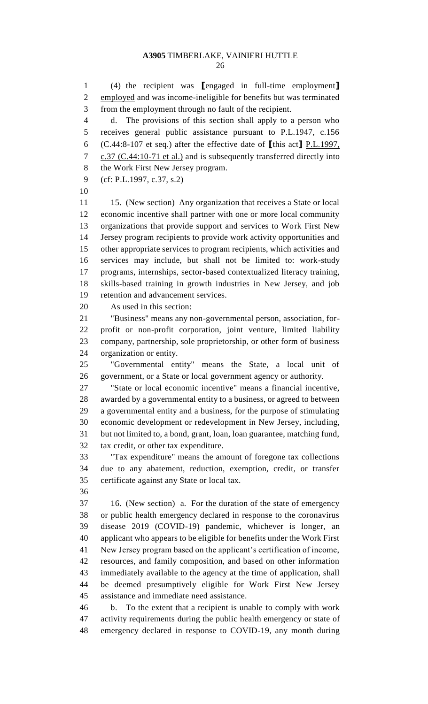(4) the recipient was **[**engaged in full-time employment**]** employed and was income-ineligible for benefits but was terminated from the employment through no fault of the recipient. d. The provisions of this section shall apply to a person who receives general public assistance pursuant to P.L.1947, c.156 (C.44:8-107 et seq.) after the effective date of **[**this act**]** P.L.1997, 7 c.37 (C.44:10-71 et al.) and is subsequently transferred directly into the Work First New Jersey program. (cf: P.L.1997, c.37, s.2) 11 15. (New section) Any organization that receives a State or local economic incentive shall partner with one or more local community organizations that provide support and services to Work First New Jersey program recipients to provide work activity opportunities and other appropriate services to program recipients, which activities and services may include, but shall not be limited to: work-study programs, internships, sector-based contextualized literacy training, skills-based training in growth industries in New Jersey, and job retention and advancement services. As used in this section: organization or entity. government, or a State or local government agency or authority. "Tax expenditure" means the amount of foregone tax collections 16. (New section) a. For the duration of the state of emergency b. To the extent that a recipient is unable to comply with work activity requirements during the public health emergency or state of

- 
- 

 "Business" means any non-governmental person, association, for- profit or non-profit corporation, joint venture, limited liability company, partnership, sole proprietorship, or other form of business

"Governmental entity" means the State, a local unit of

 "State or local economic incentive" means a financial incentive, awarded by a governmental entity to a business, or agreed to between a governmental entity and a business, for the purpose of stimulating economic development or redevelopment in New Jersey, including, but not limited to, a bond, grant, loan, loan guarantee, matching fund, tax credit, or other tax expenditure.

 due to any abatement, reduction, exemption, credit, or transfer certificate against any State or local tax.

 or public health emergency declared in response to the coronavirus disease 2019 (COVID-19) pandemic, whichever is longer, an applicant who appears to be eligible for benefits under the Work First New Jersey program based on the applicant's certification of income, resources, and family composition, and based on other information immediately available to the agency at the time of application, shall be deemed presumptively eligible for Work First New Jersey assistance and immediate need assistance.

emergency declared in response to COVID-19, any month during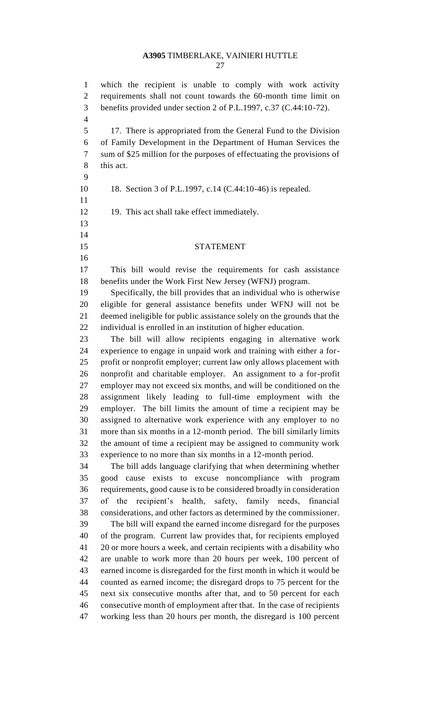which the recipient is unable to comply with work activity requirements shall not count towards the 60-month time limit on benefits provided under section 2 of P.L.1997, c.37 (C.44:10-72). 17. There is appropriated from the General Fund to the Division of Family Development in the Department of Human Services the sum of \$25 million for the purposes of effectuating the provisions of this act. 18. Section 3 of P.L.1997, c.14 (C.44:10-46) is repealed. 12 19. This act shall take effect immediately. STATEMENT This bill would revise the requirements for cash assistance benefits under the Work First New Jersey (WFNJ) program. Specifically, the bill provides that an individual who is otherwise eligible for general assistance benefits under WFNJ will not be deemed ineligible for public assistance solely on the grounds that the individual is enrolled in an institution of higher education. The bill will allow recipients engaging in alternative work experience to engage in unpaid work and training with either a for- profit or nonprofit employer; current law only allows placement with nonprofit and charitable employer. An assignment to a for-profit employer may not exceed six months, and will be conditioned on the assignment likely leading to full-time employment with the employer. The bill limits the amount of time a recipient may be assigned to alternative work experience with any employer to no more than six months in a 12-month period. The bill similarly limits the amount of time a recipient may be assigned to community work experience to no more than six months in a 12-month period. The bill adds language clarifying that when determining whether good cause exists to excuse noncompliance with program requirements, good cause is to be considered broadly in consideration of the recipient's health, safety, family needs, financial considerations, and other factors as determined by the commissioner. The bill will expand the earned income disregard for the purposes of the program. Current law provides that, for recipients employed 20 or more hours a week, and certain recipients with a disability who are unable to work more than 20 hours per week, 100 percent of earned income is disregarded for the first month in which it would be counted as earned income; the disregard drops to 75 percent for the next six consecutive months after that, and to 50 percent for each consecutive month of employment after that. In the case of recipients working less than 20 hours per month, the disregard is 100 percent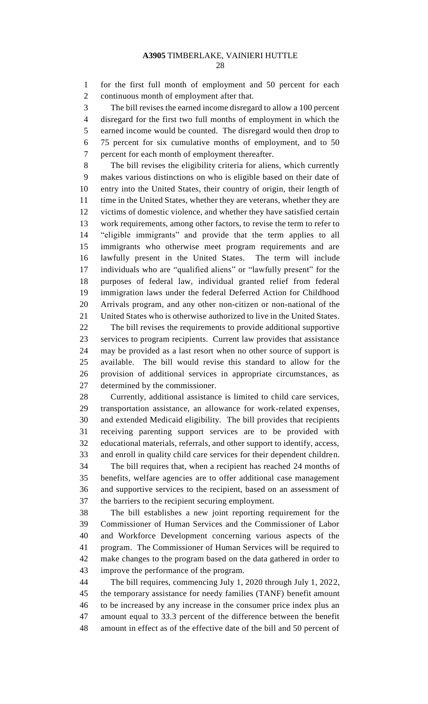for the first full month of employment and 50 percent for each continuous month of employment after that.

 The bill revises the earned income disregard to allow a 100 percent disregard for the first two full months of employment in which the earned income would be counted. The disregard would then drop to 75 percent for six cumulative months of employment, and to 50 percent for each month of employment thereafter.

 The bill revises the eligibility criteria for aliens, which currently makes various distinctions on who is eligible based on their date of entry into the United States, their country of origin, their length of time in the United States, whether they are veterans, whether they are victims of domestic violence, and whether they have satisfied certain work requirements, among other factors, to revise the term to refer to "eligible immigrants" and provide that the term applies to all immigrants who otherwise meet program requirements and are lawfully present in the United States. The term will include individuals who are "qualified aliens" or "lawfully present" for the purposes of federal law, individual granted relief from federal immigration laws under the federal Deferred Action for Childhood Arrivals program, and any other non-citizen or non-national of the United States who is otherwise authorized to live in the United States.

 The bill revises the requirements to provide additional supportive services to program recipients. Current law provides that assistance may be provided as a last resort when no other source of support is available. The bill would revise this standard to allow for the provision of additional services in appropriate circumstances, as determined by the commissioner.

 Currently, additional assistance is limited to child care services, transportation assistance, an allowance for work-related expenses, and extended Medicaid eligibility. The bill provides that recipients receiving parenting support services are to be provided with educational materials, referrals, and other support to identify, access, and enroll in quality child care services for their dependent children.

 The bill requires that, when a recipient has reached 24 months of benefits, welfare agencies are to offer additional case management and supportive services to the recipient, based on an assessment of the barriers to the recipient securing employment.

 The bill establishes a new joint reporting requirement for the Commissioner of Human Services and the Commissioner of Labor and Workforce Development concerning various aspects of the program. The Commissioner of Human Services will be required to make changes to the program based on the data gathered in order to improve the performance of the program.

 The bill requires, commencing July 1, 2020 through July 1, 2022, the temporary assistance for needy families (TANF) benefit amount to be increased by any increase in the consumer price index plus an amount equal to 33.3 percent of the difference between the benefit amount in effect as of the effective date of the bill and 50 percent of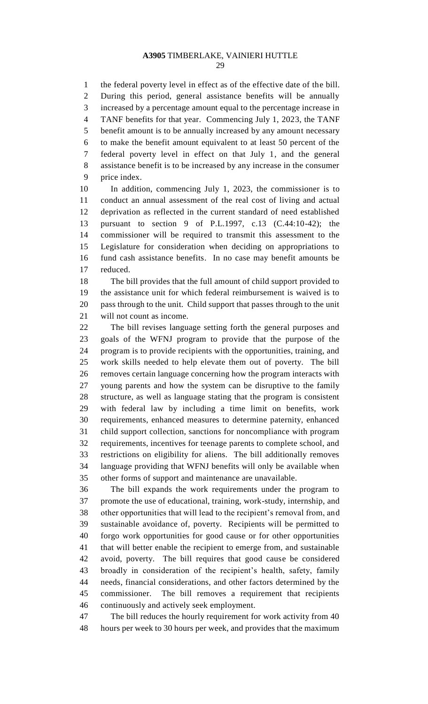the federal poverty level in effect as of the effective date of the bill. During this period, general assistance benefits will be annually increased by a percentage amount equal to the percentage increase in TANF benefits for that year. Commencing July 1, 2023, the TANF benefit amount is to be annually increased by any amount necessary to make the benefit amount equivalent to at least 50 percent of the federal poverty level in effect on that July 1, and the general assistance benefit is to be increased by any increase in the consumer price index.

 In addition, commencing July 1, 2023, the commissioner is to conduct an annual assessment of the real cost of living and actual deprivation as reflected in the current standard of need established pursuant to section 9 of P.L.1997, c.13 (C.44:10-42); the commissioner will be required to transmit this assessment to the Legislature for consideration when deciding on appropriations to fund cash assistance benefits. In no case may benefit amounts be reduced.

 The bill provides that the full amount of child support provided to the assistance unit for which federal reimbursement is waived is to pass through to the unit. Child support that passes through to the unit will not count as income.

 The bill revises language setting forth the general purposes and goals of the WFNJ program to provide that the purpose of the program is to provide recipients with the opportunities, training, and work skills needed to help elevate them out of poverty. The bill removes certain language concerning how the program interacts with young parents and how the system can be disruptive to the family structure, as well as language stating that the program is consistent with federal law by including a time limit on benefits, work requirements, enhanced measures to determine paternity, enhanced child support collection, sanctions for noncompliance with program requirements, incentives for teenage parents to complete school, and restrictions on eligibility for aliens. The bill additionally removes language providing that WFNJ benefits will only be available when other forms of support and maintenance are unavailable.

 The bill expands the work requirements under the program to promote the use of educational, training, work-study, internship, and other opportunities that will lead to the recipient's removal from, and sustainable avoidance of, poverty. Recipients will be permitted to forgo work opportunities for good cause or for other opportunities that will better enable the recipient to emerge from, and sustainable avoid, poverty. The bill requires that good cause be considered broadly in consideration of the recipient's health, safety, family needs, financial considerations, and other factors determined by the commissioner. The bill removes a requirement that recipients continuously and actively seek employment.

 The bill reduces the hourly requirement for work activity from 40 hours per week to 30 hours per week, and provides that the maximum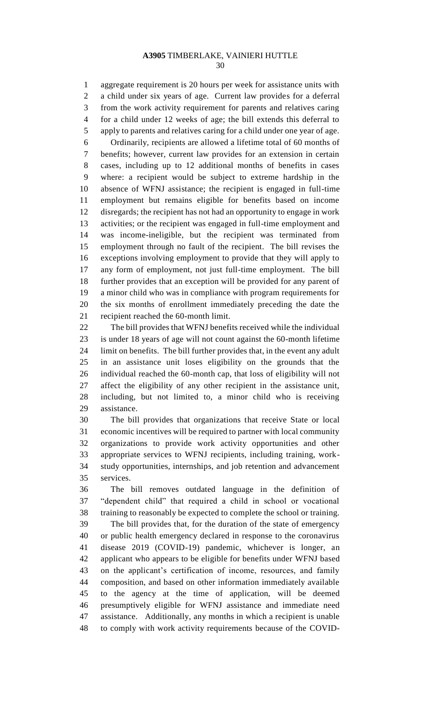aggregate requirement is 20 hours per week for assistance units with a child under six years of age. Current law provides for a deferral from the work activity requirement for parents and relatives caring for a child under 12 weeks of age; the bill extends this deferral to apply to parents and relatives caring for a child under one year of age. Ordinarily, recipients are allowed a lifetime total of 60 months of benefits; however, current law provides for an extension in certain cases, including up to 12 additional months of benefits in cases where: a recipient would be subject to extreme hardship in the absence of WFNJ assistance; the recipient is engaged in full-time employment but remains eligible for benefits based on income disregards; the recipient has not had an opportunity to engage in work activities; or the recipient was engaged in full-time employment and was income-ineligible, but the recipient was terminated from employment through no fault of the recipient. The bill revises the exceptions involving employment to provide that they will apply to any form of employment, not just full-time employment. The bill further provides that an exception will be provided for any parent of a minor child who was in compliance with program requirements for the six months of enrollment immediately preceding the date the recipient reached the 60-month limit.

 The bill provides that WFNJ benefits received while the individual is under 18 years of age will not count against the 60-month lifetime limit on benefits. The bill further provides that, in the event any adult in an assistance unit loses eligibility on the grounds that the individual reached the 60-month cap, that loss of eligibility will not affect the eligibility of any other recipient in the assistance unit, including, but not limited to, a minor child who is receiving assistance.

 The bill provides that organizations that receive State or local economic incentives will be required to partner with local community organizations to provide work activity opportunities and other appropriate services to WFNJ recipients, including training, work- study opportunities, internships, and job retention and advancement services.

 The bill removes outdated language in the definition of "dependent child" that required a child in school or vocational training to reasonably be expected to complete the school or training.

 The bill provides that, for the duration of the state of emergency or public health emergency declared in response to the coronavirus disease 2019 (COVID-19) pandemic, whichever is longer, an applicant who appears to be eligible for benefits under WFNJ based on the applicant's certification of income, resources, and family composition, and based on other information immediately available to the agency at the time of application, will be deemed presumptively eligible for WFNJ assistance and immediate need assistance. Additionally, any months in which a recipient is unable to comply with work activity requirements because of the COVID-